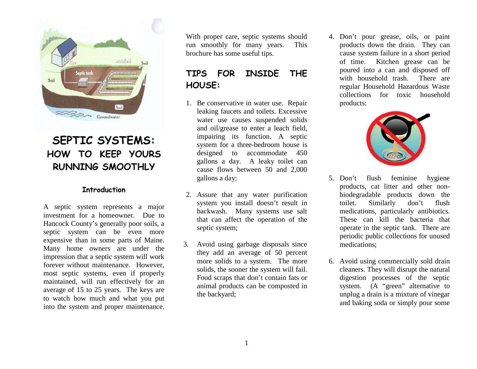

# **SEPTIC SYSTEMS: HOW TO KEEP YOURS RUNNING SMOOTHLY**

#### **Introduction**

A septic system represents a major investment for a homeowner. Due to Hancock County's generally poor soils, a septic system can be even more expensive than in some parts of Maine. Many home owners are under the impression that a septic system will work forever without maintenance. However, most septic systems, even if properly maintained, will run effectively for an average of 15 to 25 years. The keys are to watch how much and what you put into the system and proper maintenance.

With proper care, septic systems should run smoothly for many years. This brochure has some useful tips.

### **TIPS FOR INSIDE THE HOUSE:**

- 1. Be conservative in water use. Repair leaking faucets and toilets. Excessive water use causes suspended solids and oil/grease to enter a leach field, impairing its function. A septic system for a three-bedroom house is designed to accommodate 450 gallons a day. A leaky toilet can cause flows between 50 and 2,000 gallons a day;
- 2. Assure that any water purification system you install doesn't result in backwash. Many systems use salt that can affect the operation of the septic system;
- 3. Avoid using garbage disposals since they add an average of 50 percent more solids to a system. The more solids, the sooner the system will fail. Food scraps that don't contain fats or animal products can be composted in the backyard;

4. Don't pour grease, oils, or paint products down the drain. They can cause system failure in a short period of time. Kitchen grease can be poured into a can and disposed off with household trash. There are regular Household Hazardous Waste collections for toxic household products;



- 5. Don't flush feminine hygiene products, cat litter and other nonbiodegradable products down the toilet. Similarly don't flush medications, particularly antibiotics. These can kill the bacteria that operate in the septic tank. There are periodic public collections for unused medications;
- 6. Avoid using commercially sold drain cleaners. They will disrupt the natural digestion processes of the septic system. (A "green" alternative to unplug a drain is a mixture of vinegar and baking soda or simply pour some